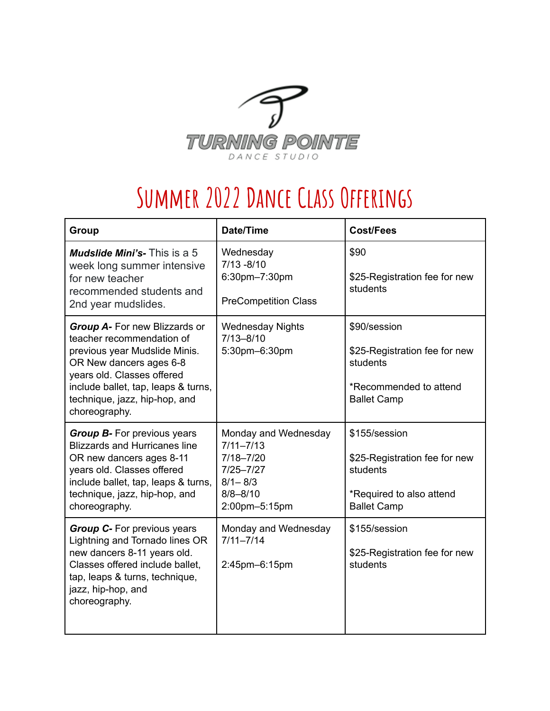

## **Summer 2022Dance Class Offerings**

| <b>Group</b>                                                                                                                                                                                                                                  | <b>Date/Time</b>                                                                                                        | <b>Cost/Fees</b>                                                                                             |
|-----------------------------------------------------------------------------------------------------------------------------------------------------------------------------------------------------------------------------------------------|-------------------------------------------------------------------------------------------------------------------------|--------------------------------------------------------------------------------------------------------------|
| <b>Mudslide Mini's-</b> This is a 5<br>week long summer intensive<br>for new teacher<br>recommended students and<br>2nd year mudslides.                                                                                                       | Wednesday<br>$7/13 - 8/10$<br>6:30pm-7:30pm<br><b>PreCompetition Class</b>                                              | \$90<br>\$25-Registration fee for new<br>students                                                            |
| Group A- For new Blizzards or<br>teacher recommendation of<br>previous year Mudslide Minis.<br>OR New dancers ages 6-8<br>years old. Classes offered<br>include ballet, tap, leaps & turns,<br>technique, jazz, hip-hop, and<br>choreography. | <b>Wednesday Nights</b><br>$7/13 - 8/10$<br>5:30pm-6:30pm                                                               | \$90/session<br>\$25-Registration fee for new<br>students<br>*Recommended to attend<br><b>Ballet Camp</b>    |
| <b>Group B-</b> For previous years<br><b>Blizzards and Hurricanes line</b><br>OR new dancers ages 8-11<br>years old. Classes offered<br>include ballet, tap, leaps & turns,<br>technique, jazz, hip-hop, and<br>choreography.                 | Monday and Wednesday<br>$7/11 - 7/13$<br>$7/18 - 7/20$<br>$7/25 - 7/27$<br>$8/1 - 8/3$<br>$8/8 - 8/10$<br>2:00pm-5:15pm | \$155/session<br>\$25-Registration fee for new<br>students<br>*Required to also attend<br><b>Ballet Camp</b> |
| <b>Group C-</b> For previous years<br>Lightning and Tornado lines OR<br>new dancers 8-11 years old.<br>Classes offered include ballet,<br>tap, leaps & turns, technique,<br>jazz, hip-hop, and<br>choreography.                               | Monday and Wednesday<br>$7/11 - 7/14$<br>2:45pm-6:15pm                                                                  | \$155/session<br>\$25-Registration fee for new<br>students                                                   |